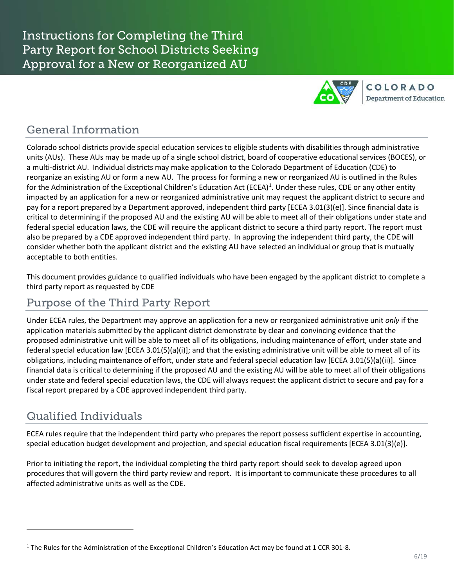

#### General Information

Colorado school districts provide special education services to eligible students with disabilities through administrative units (AUs). These AUs may be made up of a single school district, board of cooperative educational services (BOCES), or a multi-district AU. Individual districts may make application to the Colorado Department of Education (CDE) to reorganize an existing AU or form a new AU. The process for forming a new or reorganized AU is outlined in the Rules for the Administration of the Exceptional Children's Education Act (ECEA)<sup>[1](#page-0-0)</sup>. Under these rules, CDE or any other entity impacted by an application for a new or reorganized administrative unit may request the applicant district to secure and pay for a report prepared by a Department approved, independent third party [ECEA 3.01(3)(e)]. Since financial data is critical to determining if the proposed AU and the existing AU will be able to meet all of their obligations under state and federal special education laws, the CDE will require the applicant district to secure a third party report. The report must also be prepared by a CDE approved independent third party. In approving the independent third party, the CDE will consider whether both the applicant district and the existing AU have selected an individual or group that is mutually acceptable to both entities.

This document provides guidance to qualified individuals who have been engaged by the applicant district to complete a third party report as requested by CDE

#### Purpose of the Third Party Report

Under ECEA rules, the Department may approve an application for a new or reorganized administrative unit *only* if the application materials submitted by the applicant district demonstrate by clear and convincing evidence that the proposed administrative unit will be able to meet all of its obligations, including maintenance of effort, under state and federal special education law [ECEA 3.01(5)(a)(i)]; and that the existing administrative unit will be able to meet all of its obligations, including maintenance of effort, under state and federal special education law [ECEA 3.01(5)(a)(ii)]. Since financial data is critical to determining if the proposed AU and the existing AU will be able to meet all of their obligations under state and federal special education laws, the CDE will always request the applicant district to secure and pay for a fiscal report prepared by a CDE approved independent third party.

# Qualified Individuals

l

ECEA rules require that the independent third party who prepares the report possess sufficient expertise in accounting, special education budget development and projection, and special education fiscal requirements [ECEA 3.01(3)(e)].

Prior to initiating the report, the individual completing the third party report should seek to develop agreed upon procedures that will govern the third party review and report. It is important to communicate these procedures to all affected administrative units as well as the CDE.

<span id="page-0-0"></span><sup>&</sup>lt;sup>1</sup> The Rules for the Administration of the Exceptional Children's Education Act may be found at 1 CCR 301-8.